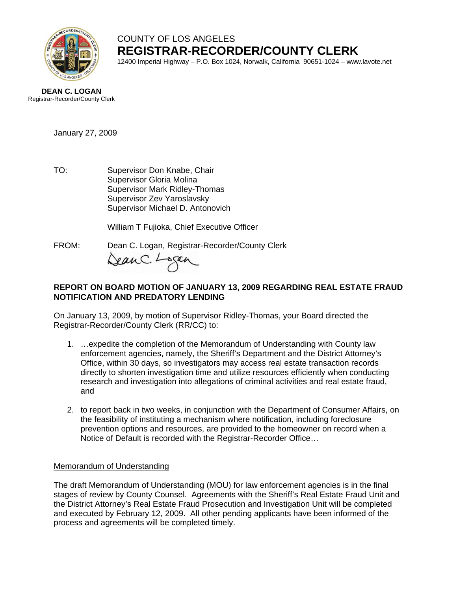

# COUNTY OF LOS ANGELES **REGISTRAR-RECORDER/COUNTY CLERK**

12400 Imperial Highway – P.O. Box 1024, Norwalk, California 90651-1024 – www.lavote.net



January 27, 2009

TO: Supervisor Don Knabe, Chair Supervisor Gloria Molina Supervisor Mark Ridley-Thomas Supervisor Zev Yaroslavsky Supervisor Michael D. Antonovich

William T Fujioka, Chief Executive Officer

FROM:Dean C. Logan, Registrar-Recorder/County Clerk DeanC. Logan

## **REPORT ON BOARD MOTION OF JANUARY 13, 2009 REGARDING REAL ESTATE FRAUD NOTIFICATION AND PREDATORY LENDING**

On January 13, 2009, by motion of Supervisor Ridley-Thomas, your Board directed the Registrar-Recorder/County Clerk (RR/CC) to:

- 1. …expedite the completion of the Memorandum of Understanding with County law enforcement agencies, namely, the Sheriff's Department and the District Attorney's Office, within 30 days, so investigators may access real estate transaction records directly to shorten investigation time and utilize resources efficiently when conducting research and investigation into allegations of criminal activities and real estate fraud, and
- 2. to report back in two weeks, in conjunction with the Department of Consumer Affairs, on the feasibility of instituting a mechanism where notification, including foreclosure prevention options and resources, are provided to the homeowner on record when a Notice of Default is recorded with the Registrar-Recorder Office…

## Memorandum of Understanding

The draft Memorandum of Understanding (MOU) for law enforcement agencies is in the final stages of review by County Counsel. Agreements with the Sheriff's Real Estate Fraud Unit and the District Attorney's Real Estate Fraud Prosecution and Investigation Unit will be completed and executed by February 12, 2009. All other pending applicants have been informed of the process and agreements will be completed timely.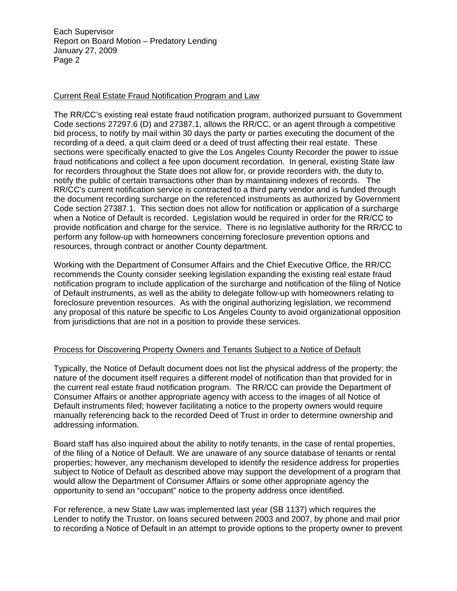Each Supervisor Report on Board Motion – Predatory Lending January 27, 2009 Page 2

### Current Real Estate Fraud Notification Program and Law

The RR/CC's existing real estate fraud notification program, authorized pursuant to Government Code sections 27297.6 (D) and 27387.1, allows the RR/CC, or an agent through a competitive bid process, to notify by mail within 30 days the party or parties executing the document of the recording of a deed, a quit claim deed or a deed of trust affecting their real estate. These sections were specifically enacted to give the Los Angeles County Recorder the power to issue fraud notifications and collect a fee upon document recordation. In general, existing State law for recorders throughout the State does not allow for, or provide recorders with, the duty to, notify the public of certain transactions other than by maintaining indexes of records. The RR/CC's current notification service is contracted to a third party vendor and is funded through the document recording surcharge on the referenced instruments as authorized by Government Code section 27387.1. This section does not allow for notification or application of a surcharge when a Notice of Default is recorded. Legislation would be required in order for the RR/CC to provide notification and charge for the service. There is no legislative authority for the RR/CC to perform any follow-up with homeowners concerning foreclosure prevention options and resources, through contract or another County department.

Working with the Department of Consumer Affairs and the Chief Executive Office, the RR/CC recommends the County consider seeking legislation expanding the existing real estate fraud notification program to include application of the surcharge and notification of the filing of Notice of Default instruments, as well as the ability to delegate follow-up with homeowners relating to foreclosure prevention resources. As with the original authorizing legislation, we recommend any proposal of this nature be specific to Los Angeles County to avoid organizational opposition from jurisdictions that are not in a position to provide these services.

#### Process for Discovering Property Owners and Tenants Subject to a Notice of Default

Typically, the Notice of Default document does not list the physical address of the property; the nature of the document itself requires a different model of notification than that provided for in the current real estate fraud notification program. The RR/CC can provide the Department of Consumer Affairs or another appropriate agency with access to the images of all Notice of Default instruments filed; however facilitating a notice to the property owners would require manually referencing back to the recorded Deed of Trust in order to determine ownership and addressing information.

Board staff has also inquired about the ability to notify tenants, in the case of rental properties, of the filing of a Notice of Default. We are unaware of any source database of tenants or rental properties; however, any mechanism developed to identify the residence address for properties subject to Notice of Default as described above may support the development of a program that would allow the Department of Consumer Affairs or some other appropriate agency the opportunity to send an "occupant" notice to the property address once identified.

For reference, a new State Law was implemented last year (SB 1137) which requires the Lender to notify the Trustor, on loans secured between 2003 and 2007, by phone and mail prior to recording a Notice of Default in an attempt to provide options to the property owner to prevent